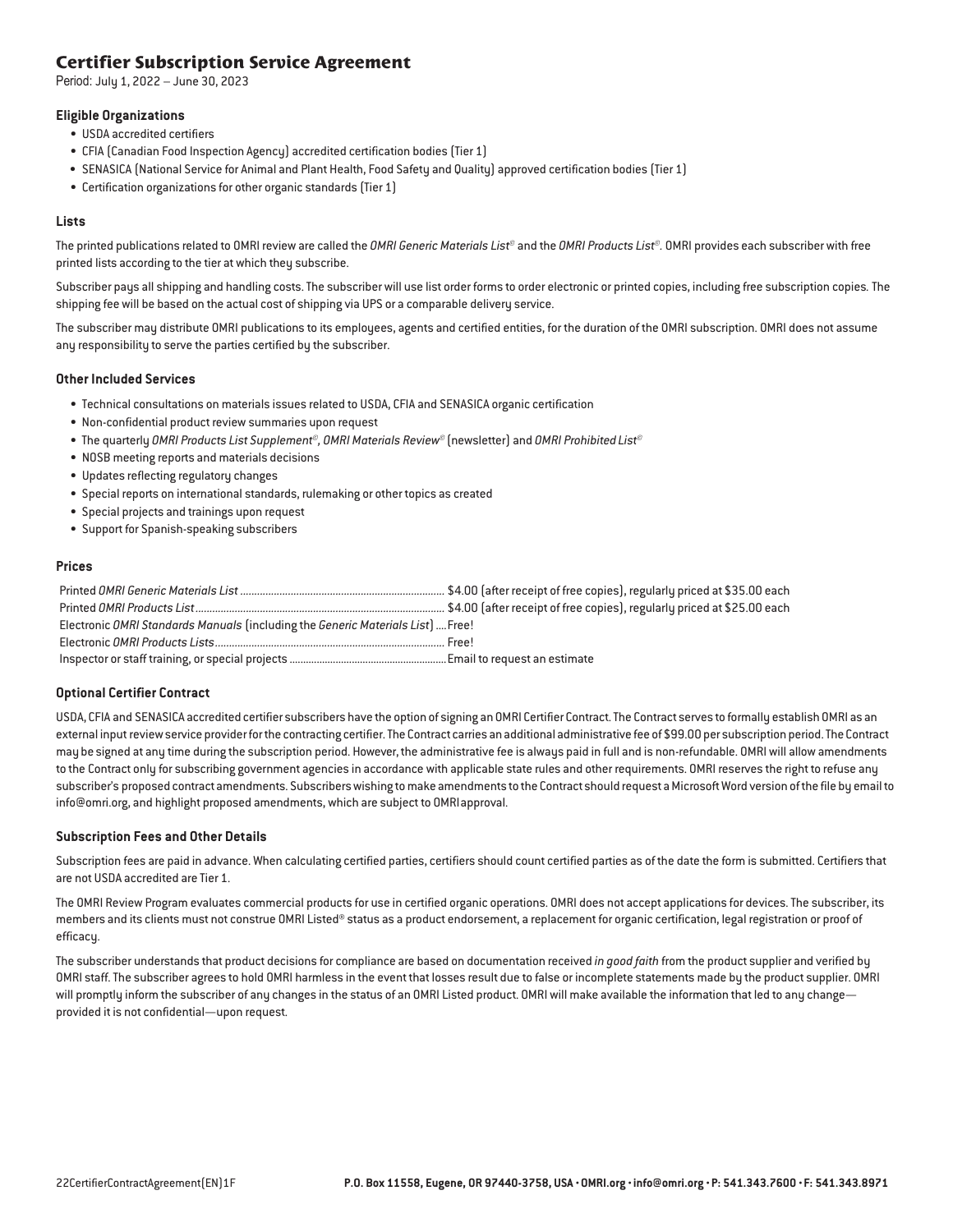### **Certifier Subscription Service Agreement**

Period: July 1, 2022 – June 30, 2023

### **Eligible Organizations**

- USDA accredited certifiers
- CFIA (Canadian Food Inspection Agency) accredited certification bodies (Tier 1)
- SENASICA (National Service for Animal and Plant Health, Food Safety and Quality) approved certification bodies (Tier 1)
- Certification organizations for other organic standards (Tier 1)

### **Lists**

The printed publications related to OMRI review are called the *OMRI Generic Materials List©* and the *OMRI Products List©.* OMRI provides each subscriber with free printed lists according to the tier at which they subscribe.

Subscriber pays all shipping and handling costs. The subscriber will use list order forms to order electronic or printed copies, including free subscription copies*.* The shipping fee will be based on the actual cost of shipping via UPS or a comparable delivery service.

The subscriber may distribute OMRI publications to its employees, agents and certified entities, for the duration of the OMRI subscription. OMRI does not assume any responsibility to serve the parties certified by the subscriber.

### **Other Included Services**

- Technical consultations on materials issues related to USDA, CFIA and SENASICA organic certification
- Non-confidential product review summaries upon request
- The quarterly *OMRI Products List Supplement©, OMRI Materials Review©* (newsletter) and *OMRI Prohibited List©*
- NOSB meeting reports and materials decisions
- Updates reflecting regulatory changes
- Special reports on international standards, rulemaking or other topics as created
- Special projects and trainings upon request
- Support for Spanish-speaking subscribers

### **Prices**

| Electronic OMRI Standards Manuals (including the Generic Materials List)  Free! |  |
|---------------------------------------------------------------------------------|--|
|                                                                                 |  |
|                                                                                 |  |

### **Optional Certifier Contract**

USDA, CFIA and SENASICA accredited certifier subscribers have the option of signing an OMRI Certifier Contract.The Contract serves to formally establish OMRI as an external input review service provider for the contracting certifier. The Contract carries an additional administrative fee of \$99.00 per subscription period. The Contract may be signed at any time during the subscription period. However, the administrative fee is always paid in full and is non-refundable. OMRI will allow amendments to the Contract only for subscribing government agencies in accordance with applicable state rules and other requirements. OMRI reserves the right to refuse any subscriber's proposed contract amendments. Subscribers wishing to make amendments to the Contract should request a Microsoft Word version of the file by email to [info@omri.org,](mailto:info@omri.org) and highlight proposed amendments, which are subject to OMRIapproval.

### **Subscription Fees and Other Details**

Subscription fees are paid in advance. When calculating certified parties, certifiers should count certified parties as of the date the form is submitted. Certifiers that are not USDA accredited are Tier 1.

The OMRI Review Program evaluates commercial products for use in certified organic operations. OMRI does not accept applications for devices. The subscriber, its members and its clients must not construe OMRI Listed® status as a product endorsement, a replacement for organic certification, legal registration or proof of efficacy.

The subscriber understands that product decisions for compliance are based on documentation received *in good faith* from the product supplier and verified by OMRI staff. The subscriber agrees to hold OMRI harmless in the event that losses result due to false or incomplete statements made by the product supplier. OMRI will promptly inform the subscriber of any changes in the status of an OMRI Listed product. OMRI will make available the information that led to any changeprovided it is not confidential—upon request.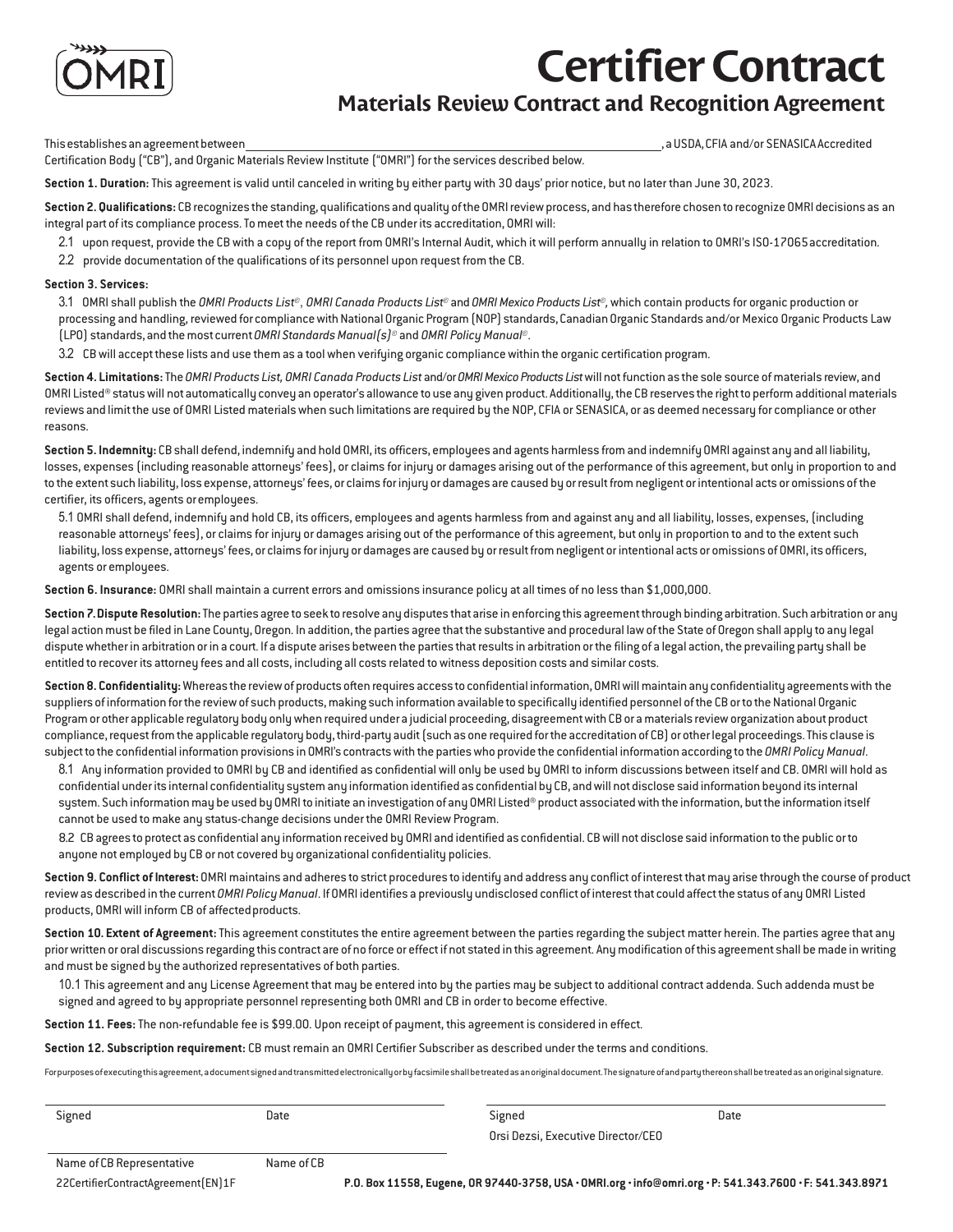

## **CertifierContract**

### **Materials Review Contract and Recognition Agreement**

Thisestablishesanagreementbetween , a USDA, CFIA and/or SENASICAAccredited

Certification Body ("CB"), and Organic Materials Review Institute ("OMRI") for the services described below.

**Section 1. Duration:** This agreement is valid until canceled in writing by either party with 30 days' prior notice, but no later than June 30, 2023.

Section 2. Qualifications: CB recognizes the standing, qualifications and quality of the OMRI review process, and has therefore chosen to recognize OMRI decisions as an integral part of its compliance process. To meet the needs of the CB under its accreditation, OMRI will:

- 2.1 upon request, provide the CB with a copy of the report from OMRI's Internal Audit, which it will perform annually in relation to OMRI's ISO-17065accreditation.
- 2.2 provide documentation of the qualifications of its personnel upon request from the CB.

### **Section 3. Services:**

3.1 OMRI shall publish the *OMRI Products List©*, *OMRI Canada Products List©* and *OMRI Mexico Products List©,* which contain products for organic production or processing and handling, reviewed for compliance with National Organic Program(NOP) standards, CanadianOrganic Standards and/or Mexico Organic Products Law (LPO) standards, and themost current *OMRI StandardsManual(s)©* and *OMRI PolicyManual©*.

3.2 CB will accept these lists and use them as a tool when verifying organic compliance within the organic certification program.

**Section 4. Limitations:**The *OMRI Products List, OMRI Canada Products List* and/or*OMRI Mexico Products List* will not function as the sole source of materials review, and OMRI Listed® status will not automatically convey an operator's allowance to use any given product. Additionally, the CB reserves the right to perform additional materials reviews and limit the use of OMRI Listed materials when such limitations are required by the NOP, CFIA or SENASICA, or as deemed necessary for compliance or other reasons.

**Section 5. Indemnity:** CB shall defend, indemnify and hold OMRI, its officers, employees and agents harmless fromand indemnify OMRI against any and all liability, losses, expenses (including reasonable attorneys' fees), or claims for injury or damages arising out of the performance of this agreement, but only in proportion to and to the extent such liability, loss expense, attorneys' fees, or claims for injury or damages are caused by or result from negligent or intentional acts or omissions of the certifier, its officers, agents oremployees.

5.1 OMRI shall defend, indemnify and hold CB, its officers, employees and agents harmless from and against any and all liability, losses, expenses, (including reasonable attorneys' fees), or claims for injury or damages arising out of the performance of this agreement, but only in proportion to and to the extent such liability, loss expense, attorneys' fees, or claims for injury or damages are caused by or result fromnegligent or intentional acts or omissions of OMRI, its officers, agents or employees.

**Section 6. Insurance:** OMRI shall maintain a current errors and omissions insurance policy at all times of no less than \$1,000,000.

**Section 7.Dispute Resolution:**The parties agree to seek to resolve any disputes that arise in enforcing this agreementthrough binding arbitration. Such arbitration or any legal action must be filed in Lane County, Oregon. In addition, the parties agree that the substantive and procedural lawof the State of Oregon shall apply to any legal dispute whether in arbitration or in a court. If a dispute arises between the parties that results in arbitration or the filing of a legal action, the prevailing party shall be entitled to recover its attorney fees and all costs, including all costs related to witness deposition costs and similar costs.

**Section 8. Confidentiality:**Whereas the reviewof products often requires access to confidential information,OMRIwillmaintain any confidentiality agreementswith the suppliers of information for the review of such products, making such information available to specifically identified personnel of the CB or to the National Organic Programor other applicable regulatory body onlywhen required under a judicial proceeding, disagreement with CB or a materials revieworganization about product compliance, request from the applicable regulatory body, third-party audit (such as one required for the accreditation of CB) or other legal proceedings. This clause is subject to the confidential information provisions in OMRI's contracts with the partieswho provide the confidential information according to the *OMRI PolicyManual*.

8.1 Any information provided to OMRI by CB and identified as confidential will only be used by OMRI to inform discussions between itself and CB. OMRI will hold as confidential under its internal confidentiality systemany information identified as confidential by CB, andwill not disclose said information beyond its internal system. Such information may be used by OMRI to initiate an investigation of any OMRI Listed® product associated with the information, but the information itself cannot be used to make any status-change decisions under the OMRI Review Program.

8.2 CB agrees to protect as confidential any information received by OMRI and identified as confidential. CBwill not disclose said information to the public or to anyone not employed by CB or not covered by organizational confidentiality policies.

**Section 9. Conflict of Interest:** OMRI maintains and adheres to strict procedures to identify and address any conflict of interest that may arise through the course of product reviewas described in the current *OMRI PolicyManual*. If OMRI identifies a previously undisclosed conflict of interest that could affect the status of any OMRI Listed products, OMRI will inform CB of affectedproducts.

Section 10. Extent of Agreement: This agreement constitutes the entire agreement between the parties regarding the subject matter herein. The parties agree that any prior written or oral discussions regarding this contract are of no force or effect if not stated in this agreement. Anymodification of this agreement shall bemade in writing and must be signed by the authorized representatives of both parties.

10.1 This agreement and any License Agreement that may be entered into by the parties may be subject to additional contract addenda. Such addenda must be signed and agreed to by appropriate personnel representing both OMRI and CB in order to become effective.

**Section 11. Fees:** The non-refundable fee is \$99.00. Upon receipt of payment, this agreement is considered in effect.

**Section 12. Subscription requirement:** CB must remain an OMRI Certifier Subscriber as described under the terms and conditions.

Forpurposesof executing thisagreement, a documentsignedandtransmittedelectronicallyorbyfacsimileshallbetreated as anoriginaldocument.The signature ofandpartythereonshallbe treated asanoriginal signature.

Signed Date

Signed Date Orsi Dezsi, Executive Director/CEO

Name of CB Representative Name of CB

22CertifierContractAgreement(EN)1F **P.O. Box 11558, Eugene, OR 97440-3758, USA • OMRI.org [• info@omri.org](mailto:info@omri.org) • P: 541.343.7600 • F: 541.343.8971**